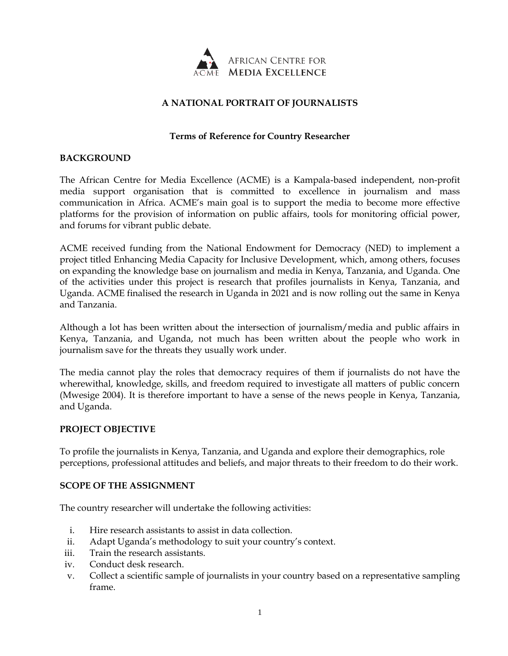

# **A NATIONAL PORTRAIT OF JOURNALISTS**

## **Terms of Reference for Country Researcher**

### **BACKGROUND**

The African Centre for Media Excellence (ACME) is a Kampala-based independent, non-profit media support organisation that is committed to excellence in journalism and mass communication in Africa. ACME's main goal is to support the media to become more effective platforms for the provision of information on public affairs, tools for monitoring official power, and forums for vibrant public debate.

ACME received funding from the National Endowment for Democracy (NED) to implement a project titled Enhancing Media Capacity for Inclusive Development, which, among others, focuses on expanding the knowledge base on journalism and media in Kenya, Tanzania, and Uganda. One of the activities under this project is research that profiles journalists in Kenya, Tanzania, and Uganda. ACME finalised the research in Uganda in 2021 and is now rolling out the same in Kenya and Tanzania.

Although a lot has been written about the intersection of journalism/media and public affairs in Kenya, Tanzania, and Uganda, not much has been written about the people who work in journalism save for the threats they usually work under.

The media cannot play the roles that democracy requires of them if journalists do not have the wherewithal, knowledge, skills, and freedom required to investigate all matters of public concern (Mwesige 2004). It is therefore important to have a sense of the news people in Kenya, Tanzania, and Uganda.

#### **PROJECT OBJECTIVE**

To profile the journalists in Kenya, Tanzania, and Uganda and explore their demographics, role perceptions, professional attitudes and beliefs, and major threats to their freedom to do their work.

#### **SCOPE OF THE ASSIGNMENT**

The country researcher will undertake the following activities:

- i. Hire research assistants to assist in data collection.
- ii. Adapt Uganda's methodology to suit your country's context.
- iii. Train the research assistants.
- iv. Conduct desk research.
- v. Collect a scientific sample of journalists in your country based on a representative sampling frame.